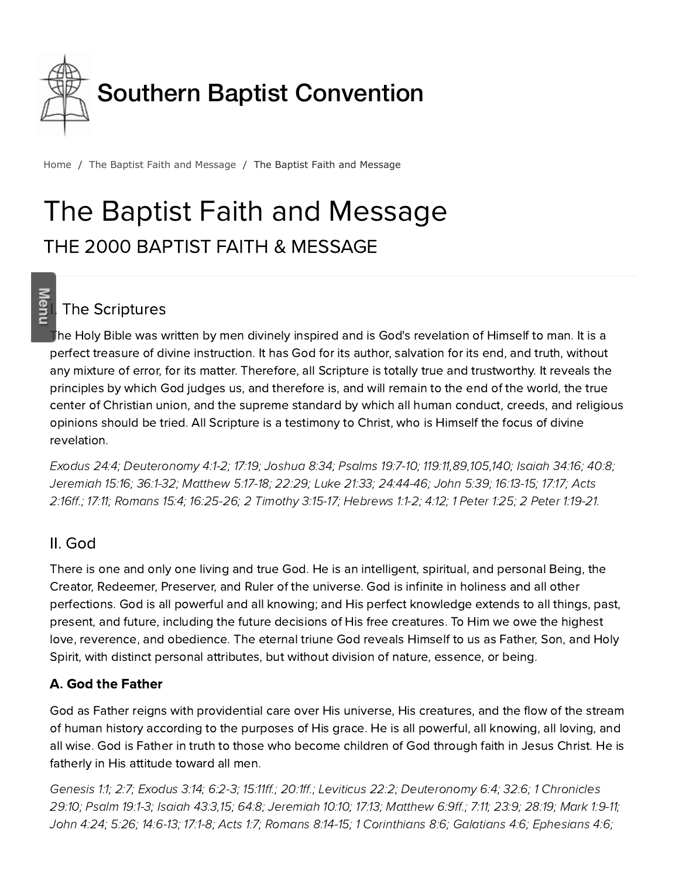

[Home](http://www.sbc.net/) / The Baptist Faith and [Message](http://www.sbc.net/bfm2000/) / The Baptist Faith and Message

# The Baptist Faith and Message THE 2000 BAPTIST FAITH & MESSAGE

# The Scriptures

**Meni** 

The Holy Bible was written by men divinely inspired and is God's revelation of Himself to man. It is a perfect treasure of divine instruction. It has God for its author, salvation for its end, and truth, without any mixture of error, for its matter. Therefore, all Scripture is totally true and trustworthy. It reveals the principles which God judges us, and therefore is, and will remain to the end of the world, the true center of Christian union, and the supreme standard by which all human conduct, creeds, and religious opinions should be tried. All Scripture is a testimony to Christ, who is Himself the focus of divine revelation.

E[xodus](http://biblia.com/bible/hcsb/Exodus%2024.4) 24:4; [Deuteronom](http://biblia.com/bible/hcsb/Deuteronomy%204.1-2)y 4:1-2; [17:19;](http://biblia.com/bible/hcsb/Deuteronomy%2017.19) [Joshua](http://biblia.com/bible/hcsb/Joshua%208.34) 8:34; [Psalms](http://biblia.com/bible/hcsb/Psalms%2019.7-10) 19:7-10; [119:11,](http://biblia.com/bible/hcsb/Psalms%20119.11)[89](http://biblia.com/bible/hcsb/Psalms%20119.89)[,105,](http://biblia.com/bible/hcsb/Psalms%20119.105)[140;](http://biblia.com/bible/hcsb/Psalms%20119.140) [Isaiah](http://biblia.com/bible/hcsb/Isaiah%2034.16) 34:16; [40:8;](http://biblia.com/bible/hcsb/Isaiah%2040.8) [Jeremiah](http://biblia.com/bible/hcsb/Jeremiah%2015.16) 15:16; [36:1-32](http://biblia.com/bible/hcsb/Jeremiah%2036.1-32); [Matthew](http://biblia.com/bible/hcsb/Matthew%205.17-18) 5:17-18; [22:29](http://biblia.com/bible/hcsb/Matthew%2022.29); Luke [21:33;](http://biblia.com/bible/hcsb/Luke%2021.33) [2](http://biblia.com/bible/hcsb/Acts%202.16ff)[4:44-4](http://biblia.com/bible/hcsb/Luke%2024.44-46)[6;](http://biblia.com/bible/hcsb/Acts%202.16ff) [John](http://biblia.com/bible/hcsb/John%205.39) 5:39; [16:13-15;](http://biblia.com/bible/hcsb/John%2016.13-15) [17:17;](http://biblia.com/bible/hcsb/John%2017.17) Acts 2:16ff.; [17:11](http://biblia.com/bible/hcsb/Acts%2017.11); [Romans](http://biblia.com/bible/hcsb/Romans%2015.4) 15:4; [16:25-26;](http://biblia.com/bible/hcsb/Romans%2016.25-26) 2 [Timoth](http://biblia.com/bible/hcsb/2%20Timothy%203.15-17)y 3:15-17; Hebrews 1:1-2; [4:12;](http://biblia.com/bible/hcsb/Hebrews%204.12) 1 [Peter](http://biblia.com/bible/hcsb/1%20Peter%201.25) 1:25; 2 Peter [1:19-21](http://biblia.com/bible/hcsb/2%20Peter%201.19-21).

#### II. God

There is one and only one living and true God. He is an intelligent, spiritual, and personal Being, the Creator, Redeemer, Preserver, and Ruler of the universe. God is infinite in holiness and all other perfections. God is all powerful and all knowing; and His perfect knowledge extends to all things, past, present, and future, including the future decisions of His free creatures. To Him we owe the highest love, reverence, and obedience. The eternal triune God reveals Himself to us as Father, Son, and Holy Spirit, with distinct personal attributes, but without division of nature, essence, or being.

#### A. God the Father

God as Father reigns with providential care over His universe, His creatures, and the flow of the stream of human history according to the purposes of His grace. He is all powerful, all knowing, all loving, and all wise. God is Father in truth to those who ecome children of God through faith in Jesus Christ. He is fatherly in His attitude toward all men.

[Genesis](http://biblia.com/bible/hcsb/Genesis%201.1) 1:1; [2:7](http://biblia.com/bible/hcsb/Genesis%202.7); E[xodus](http://biblia.com/bible/hcsb/Exodus%203.14) 3:14; [6:2-3;](http://biblia.com/bible/hcsb/Exodus%206.2-3) [15:11ff.](http://biblia.com/bible/hcsb/Exodus%2015.11ff); [20:1ff](http://biblia.com/bible/hcsb/Exodus%2020.1ff).; [Leviticus](http://biblia.com/bible/hcsb/Leviticus%2022.2) 22:2; [D](http://biblia.com/bible/hcsb/1%20Chronicles%2029.10)[euteronom](http://biblia.com/bible/hcsb/Deuteronomy%206.4)y 6:4; [32:6;](http://biblia.com/bible/hcsb/Deuteronomy%2032.6) 1 Chronicles 29:10; [Psalm](http://biblia.com/bible/hcsb/Psalm%2019.1-3) 19:1-3; [Isaiah](http://biblia.com/bible/hcsb/Isaiah%2043.3) 43:3,[15](http://biblia.com/bible/hcsb/Isaiah%2043.15); [64:8;](http://biblia.com/bible/hcsb/Isaiah%2064.8) [Jeremiah](http://biblia.com/bible/hcsb/Jeremiah%2010.10) 10:10; [17:13;](http://biblia.com/bible/hcsb/Jeremiah%2017.13) [Matthew](http://biblia.com/bible/hcsb/Matthew%206.9ff) 6:9ff.; [7:11](http://biblia.com/bible/hcsb/Matthew%207.11); [23:9](http://biblia.com/bible/hcsb/Matthew%2023.9); [28:19](http://biblia.com/bible/hcsb/Matthew%2028.19); [Mark](http://biblia.com/bible/hcsb/Mark%201.9-11) 1:9-11; [John](http://biblia.com/bible/hcsb/John%204.24) 4:24; [5:26;](http://biblia.com/bible/hcsb/John%205.26) [14:6-13;](http://biblia.com/bible/hcsb/John%2014.6-13) [17:1-8;](http://biblia.com/bible/hcsb/John%2017.1-8) [Acts](http://biblia.com/bible/hcsb/Acts%201.7) 1:7; [Romans](http://biblia.com/bible/hcsb/Romans%208.14-15) 8:14-15; 1 [Corinthians](http://biblia.com/bible/hcsb/1%20Corinthians%208.6) 8:6; [Galatians](http://biblia.com/bible/hcsb/Galatians%204.6) 4:6; [phesians](http://biblia.com/bible/hcsb/Ephesians%204.6) 4:6;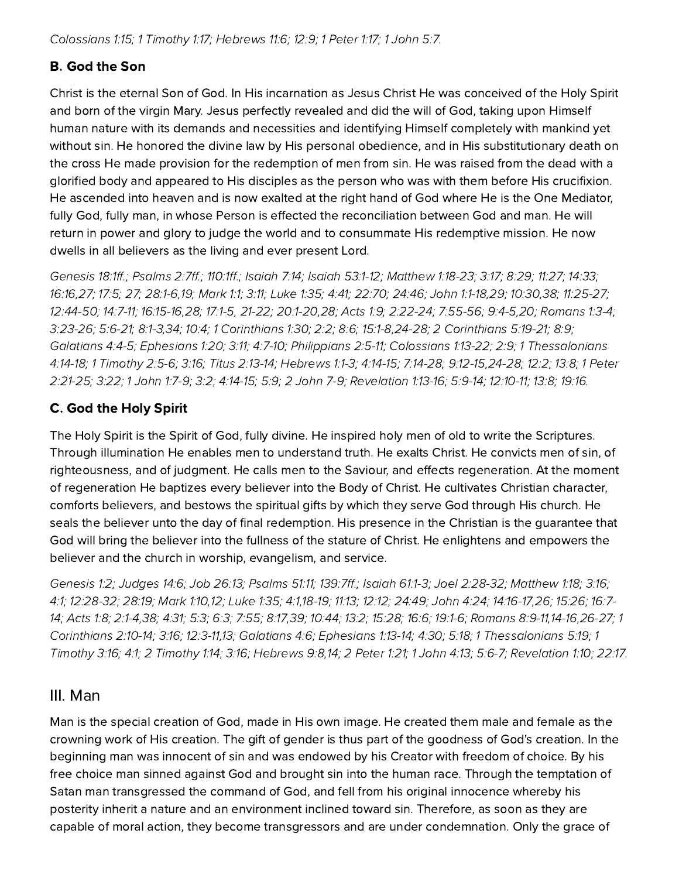#### **B.** God the Son

Christ is the eternal Son of God. In His incarnation as Jesus Christ He was conceived of the Holy Spirit and born of the virgin Mary. Jesus perfectly revealed and did the will of God, taking upon Himself human nature with its demands and necessities and identifying Himself completely with mankind yet without sin. He honored the divine law by His personal obedience, and in His substitutionary death on the cross He made provision for the redemption of men from sin. He was raised from the dead with a glorified body and appeared to His disciples as the person who was with them before His crucifixion. He ascended into heaven and is now exalted at the right hand of God where He is the One Mediator, fully God, fully man, in whose Person is effected the reconciliation between God and man. He will return in power and glory to judge the world and to consummate His redemptive mission. He now dwells in all believers as the living and ever present Lord.

[Genesis](http://biblia.com/bible/hcsb/Genesis%2018.1ff) 18:1ff.; [Psalms](http://biblia.com/bible/hcsb/Psalms%202.7ff) 2:7ff.; [110:1ff](http://biblia.com/bible/hcsb/Psalms%20110.1ff).; [Isaiah](http://biblia.com/bible/hcsb/Isaiah%207.14) 7:14; Isaiah [53:1-12](http://biblia.com/bible/hcsb/Isaiah%2053.1-12); [Matthew](http://biblia.com/bible/hcsb/Matthew%201.18-23) 1:18-23; [3:17](http://biblia.com/bible/hcsb/Matthew%203.17); [8:29;](http://biblia.com/bible/hcsb/Matthew%208.29) [11:27;](http://biblia.com/bible/hcsb/Matthew%2011.27) [14:33;](http://biblia.com/bible/hcsb/Matthew%2014.33) [16:16,](http://biblia.com/bible/hcsb/Matthew%2016.16)[27;](http://biblia.com/bible/hcsb/Matthew%2016.27) [17:5;](http://biblia.com/bible/hcsb/Matthew%2017.5) [27;](http://biblia.com/bible/hcsb/Matthew%2017.27) [28:1-6](http://biblia.com/bible/hcsb/Matthew%2028.1-6)[,19;](http://biblia.com/bible/hcsb/Matthew%2028.19) [Mark](http://biblia.com/bible/hcsb/Mark%201.1) 1:1; [3:11](http://biblia.com/bible/hcsb/Mark%203.11); [Luke](http://biblia.com/bible/hcsb/Luke%201.35) 1:35; [4:41;](http://biblia.com/bible/hcsb/Luke%204.41) [22:70;](http://biblia.com/bible/hcsb/Luke%2022.70) [24:46;](http://biblia.com/bible/hcsb/Luke%2024.46) [John](http://biblia.com/bible/hcsb/John%201.1-18) 1:1-18,[29](http://biblia.com/bible/hcsb/John%201.29); [10:30](http://biblia.com/bible/hcsb/John%2010.30),[38](http://biblia.com/bible/hcsb/John%2010.38); [11:25-27](http://biblia.com/bible/hcsb/John%2011.25-27); [12:44-50;](http://biblia.com/bible/hcsb/John%2012.44-50) [14:7-11](http://biblia.com/bible/hcsb/John%2014.7-11); [16:15-16,](http://biblia.com/bible/hcsb/John%2016.15-16)[28](http://biblia.com/bible/hcsb/John%2016.28); [17:1-5](http://biblia.com/bible/hcsb/John%2017.1-5), [21-22](http://biblia.com/bible/hcsb/John%2017.21-22); [20:1-20](http://biblia.com/bible/hcsb/John%2020.1-20)[,28;](http://biblia.com/bible/hcsb/John%2020.28) [Acts](http://biblia.com/bible/hcsb/Acts%201.9) 1:9; [2:22-24;](http://biblia.com/bible/hcsb/Acts%202.22-24) [7:55-56;](http://biblia.com/bible/hcsb/Acts%207.55-56) [9:4-5,](http://biblia.com/bible/hcsb/Acts%209.4-5)[20](http://biblia.com/bible/hcsb/Acts%209.20); [Romans](http://biblia.com/bible/hcsb/Romans%201.3-4) 1:3-4; [3:23-26](http://biblia.com/bible/hcsb/Romans%203.23-26); [5:6-21;](http://biblia.com/bible/hcsb/Romans%205.6-21) [8:1-3](http://biblia.com/bible/hcsb/Romans%208.1-3),[34](http://biblia.com/bible/hcsb/Romans%208.34); [10:4](http://biblia.com/bible/hcsb/Romans%2010.4); 1 [Corinthians](http://biblia.com/bible/hcsb/1%20Corinthians%201.30) 1:30; [2:2](http://biblia.com/bible/hcsb/1%20Corinthians%202.2); [8:6;](http://biblia.com/bible/hcsb/1%20Corinthians%208.6) [15:1-8,](http://biblia.com/bible/hcsb/1%20Corinthians%2015.1-8)[24-28;](http://biblia.com/bible/hcsb/1%20Corinthians%2015.24-28) 2 [Corinthians](http://biblia.com/bible/hcsb/2%20Corinthians%205.19-21) 5:19-21; [8:9](http://biblia.com/bible/hcsb/2%20Corinthians%208.9); [Galatians](http://biblia.com/bible/hcsb/Galatians%204.4-5) 4:4-5; E[phesians](http://biblia.com/bible/hcsb/Ephesians%201.20) 1:20; [3:11;](http://biblia.com/bible/hcsb/Ephesians%203.11) [4:7-10;](http://biblia.com/bible/hcsb/Ephesians%204.7-10) [Philippians](http://biblia.com/bible/hcsb/Philippians%202.5-11) 2:5-11; [Colossians](http://biblia.com/bible/hcsb/Colossians%201.13-22) 1:13-22; [2:9](http://biblia.com/bible/hcsb/Colossians%202.9); 1 [Thessalonians](http://biblia.com/bible/hcsb/1%20Thessalonians%204.14-18) 4:14-18; 1 [Timoth](http://biblia.com/bible/hcsb/1%20Timothy%202.5-6)y 2:5-6; [3:16](http://biblia.com/bible/hcsb/1%20Timothy%203.16); Titus [2:13-14;](http://biblia.com/bible/hcsb/Titus%202.13-14) Hebrews 1:1-3; [4:14-15](http://biblia.com/bible/hcsb/Hebrews%204.14-15); [7:14-28](http://biblia.com/bible/hcsb/Hebrews%207.14-28); [9](http://biblia.com/bible/hcsb/1%20Peter%202.21-25)[:12-15](http://biblia.com/bible/hcsb/Hebrews%209.12-15)[,](http://biblia.com/bible/hcsb/1%20Peter%202.21-25)[24-2](http://biblia.com/bible/hcsb/Hebrews%209.24-28)[8;](http://biblia.com/bible/hcsb/1%20Peter%202.21-25) [12:2;](http://biblia.com/bible/hcsb/Hebrews%2012.2) [13:8;](http://biblia.com/bible/hcsb/Hebrews%2013.8) 1 Peter 2:21-25; [3:22;](http://biblia.com/bible/hcsb/1%20Peter%203.22) 1 [John](http://biblia.com/bible/hcsb/1%20John%201.7-9) 1:7-9; [3:2](http://biblia.com/bible/hcsb/1%20John%203.2); [4:14-15](http://biblia.com/bible/hcsb/1%20John%204.14-15); [5:9;](http://biblia.com/bible/hcsb/1%20John%205.9) 2 [John](http://biblia.com/bible/hcsb/2%20John%207-9) 7-9; [Revelation](http://biblia.com/bible/hcsb/Revelation%201.13-16) 1:13-16; [5:9-14](http://biblia.com/bible/hcsb/Revelation%205.9-14); [12:10-11;](http://biblia.com/bible/hcsb/Revelation%2012.10-11) [13:8](http://biblia.com/bible/hcsb/Revelation%2013.8); [19:16](http://biblia.com/bible/hcsb/Revelation%2019.16).

#### C. God the Holy Spirit

The Holy Spirit is the Spirit of God, fully divine. He inspired holy men of old to write the Scriptures. Through illumination He enables men to understand truth. He exalts Christ. He convicts men of sin, of righteousness, and of judgment. He calls men to the Saviour, and effects regeneration. At the moment of regeneration He baptizes every believer into the Body of Christ. He cultivates Christian character, comforts believers, and bestows the spiritual gifts by which they serve God through His church. He seals the believer unto the day of final redemption. His presence in the Christian is the quarantee that God will bring the believer into the fullness of the stature of Christ. He enlightens and empowers the believer and the church in worship, evangelism, and service.

[Genesis](http://biblia.com/bible/hcsb/Genesis%201.2) 1:2; [Judges](http://biblia.com/bible/hcsb/Judges%2014.6) 14:6; Job [26:13](http://biblia.com/bible/hcsb/Job%2026.13); [Psalms](http://biblia.com/bible/hcsb/Psalms%2051.11) 51:11; [139:7ff](http://biblia.com/bible/hcsb/Psalms%20139.7ff).; [Isaiah](http://biblia.com/bible/hcsb/Isaiah%2061.1-3) 61:1-3; Joel [2:28-32](http://biblia.com/bible/hcsb/Joel%202.28-32); [Matthew](http://biblia.com/bible/hcsb/Matthew%201.18) 1:18; [3:16](http://biblia.com/bible/hcsb/Matthew%203.16); [4:1](http://biblia.com/bible/hcsb/Matthew%204.1); [12:28-32;](http://biblia.com/bible/hcsb/Matthew%2012.28-32) [28:19;](http://biblia.com/bible/hcsb/Matthew%2028.19) [Mark](http://biblia.com/bible/hcsb/Mark%201.10) 1:10[,12;](http://biblia.com/bible/hcsb/Mark%201.12) [Luke](http://biblia.com/bible/hcsb/Luke%201.35) 1:35; [4:1](http://biblia.com/bible/hcsb/Luke%204.1),[18-19;](http://biblia.com/bible/hcsb/Luke%204.18-19) [11:13;](http://biblia.com/bible/hcsb/Luke%2011.13) [12:12;](http://biblia.com/bible/hcsb/Luke%2012.12) [24:49;](http://biblia.com/bible/hcsb/Luke%2024.49) [John](http://biblia.com/bible/hcsb/John%204.24) 4:24; [14:16-17,](http://biblia.com/bible/hcsb/John%2014.16-17)[26](http://biblia.com/bible/hcsb/John%2014.26); [15:26](http://biblia.com/bible/hcsb/John%2015.26); 16:7- 14; [Acts](http://biblia.com/bible/hcsb/Acts%201.8) 1:8; [2:1-4](http://biblia.com/bible/hcsb/Acts%202.1-4),[38](http://biblia.com/bible/hcsb/Acts%202.38); [4:31](http://biblia.com/bible/hcsb/Acts%204.31); [5:3](http://biblia.com/bible/hcsb/Acts%205.3); [6:3](http://biblia.com/bible/hcsb/Acts%206.3); [7:55](http://biblia.com/bible/hcsb/Acts%207.55); [8:17](http://biblia.com/bible/hcsb/Acts%208.17)[,39](http://biblia.com/bible/hcsb/Acts%208.39); [10:44;](http://biblia.com/bible/hcsb/Acts%2010.44) [13:2;](http://biblia.com/bible/hcsb/Acts%2013.2) [15:28](http://biblia.com/bible/hcsb/Acts%2015.28); [16:6](http://biblia.com/bible/hcsb/Acts%2016.6); [19:1-6](http://biblia.com/bible/hcsb/Acts%2019.1-6); [Romans](http://biblia.com/bible/hcsb/Romans%208.9-11) [8:9-11,14-16,26-27;](http://biblia.com/bible/hcsb/John%2016.7-14) 1 Corinthians 2:10-14; [3:16;](http://biblia.com/bible/hcsb/1%20Corinthians%203.16) [12:3-11](http://biblia.com/bible/hcsb/1%20Corinthians%2012.3-11),[13](http://biblia.com/bible/hcsb/1%20Corinthians%2012.13); [Galatians](http://biblia.com/bible/hcsb/Galatians%204.6) 4:6; E[phesians](http://biblia.com/bible/hcsb/Ephesians%201.13-14) 1:13-14; [4:30;](http://biblia.com/bible/hcsb/Ephesians%204.30) [5:18](http://biblia.com/bible/hcsb/Ephesians%205.18); 1 [Thessalonians](http://biblia.com/bible/hcsb/1%20Thessalonians%205.19) 5:19; 1 Timothy 3:16; [4:1;](http://biblia.com/bible/hcsb/1%20Timothy%204.1) 2 [Timoth](http://biblia.com/bible/hcsb/2%20Timothy%201.14)y 1:14; [3:16](http://biblia.com/bible/hcsb/2%20Timothy%203.16); Hebrews 9:8[,14](http://biblia.com/bible/hcsb/Hebrews%209.14); 2 [Peter](http://biblia.com/bible/hcsb/2%20Peter%201.21) 1:21; 1 [John](http://biblia.com/bible/hcsb/1%20John%204.13) 4:13; [5:6-7](http://biblia.com/bible/hcsb/1%20John%205.6-7); [Revelation](http://biblia.com/bible/hcsb/Revelation%201.10) 1:10; [22:17](http://biblia.com/bible/hcsb/Revelation%2022.17).

#### III. Man

Man is the special creation of God, made in His own image. He created them male and female as the crowning work of His creation. The gift of gender is thus part of the goodness of God's creation. In the beginning man was innocent of sin and was endowed by his Creator with freedom of choice. By his free choice man sinned against God and brought sin into the human race. Through the temptation of Satan man transgressed the command of God, and fell from his original innocence whereby his posterity inherit a nature and an environment inclined toward sin. Therefore, as soon as they are capable of moral action, they become transgressors and are under condemnation. Only the grace of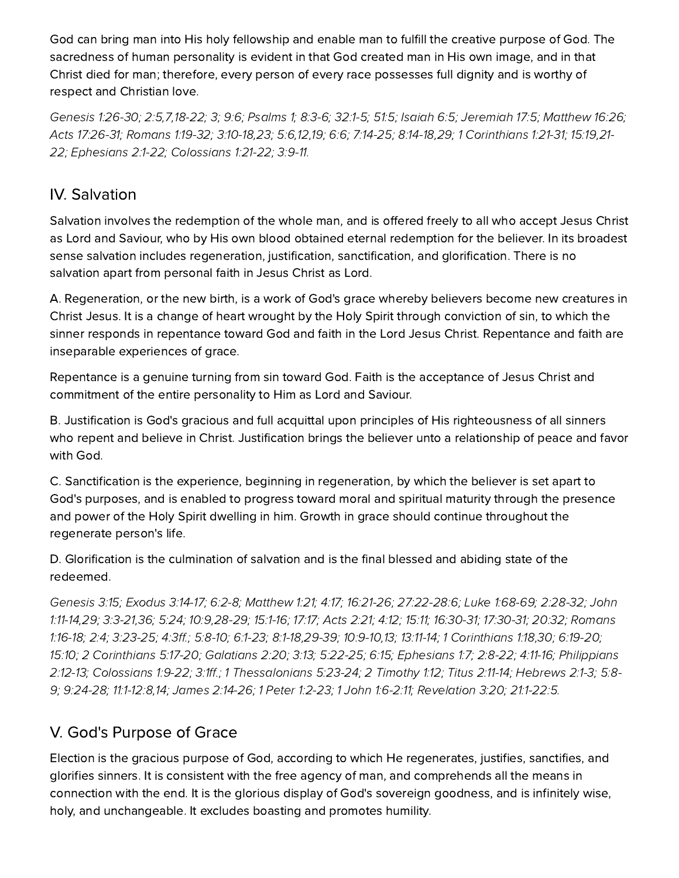God can bring man into His holy fellowship and enable man to fulfill the creative purpose of God. The sacredness of human personality is evident in that God created man in His own image, and in that Christ died for man; therefore, every person of every race possesses full dignity and is worthy of respect and Christian love.

[Genesis](http://biblia.com/bible/hcsb/Genesis%201.26-30) 1:26-30; [2:5,](http://biblia.com/bible/hcsb/Genesis%202.5)[7](http://biblia.com/bible/hcsb/Genesis%202.7),[18-22;](http://biblia.com/bible/hcsb/Genesis%202.18-22) [3](http://biblia.com/bible/hcsb/Genesis%202.3); [9:6](http://biblia.com/bible/hcsb/Genesis%209.6); Psalms 1; 8:3-6; 32:1-5; 51:5; [Isaiah](http://biblia.com/bible/hcsb/Isaiah%206.5) 6:5; [Jeremiah](http://biblia.com/bible/hcsb/Jeremiah%2017.5) 17:5; [Matthew](http://biblia.com/bible/hcsb/Matthew%2016.26) 16:26; Acts [17:26-31](http://biblia.com/bible/hcsb/Acts%2017.26-31); [Romans](http://biblia.com/bible/hcsb/Romans%201.19-32) 1:19-32; [3:10-18](http://biblia.com/bible/hcsb/Romans%203.10-18)[,23](http://biblia.com/bible/hcsb/Romans%203.23); [5:6](http://biblia.com/bible/hcsb/Romans%205.6),[12,](http://biblia.com/bible/hcsb/Romans%205.12)[19](http://biblia.com/bible/hcsb/Romans%205.19); [6:6](http://biblia.com/bible/hcsb/Romans%206.6); [7:14-25;](http://biblia.com/bible/hcsb/Romans%207.14-25) [8:14-18](http://biblia.com/bible/hcsb/Romans%208.14-18)[,29;](http://biblia.com/bible/hcsb/Romans%208.29) 1 [Corinthians](http://biblia.com/bible/hcsb/1%20Corinthians%201.21-31) 1:21-31; [15:19](http://biblia.com/bible/hcsb/1%20Corinthians%2015.19),21 22; E[phesians](http://biblia.com/bible/hcsb/Ephesians%202.1-22) 2:1-22; [Colossians](http://biblia.com/bible/hcsb/Colossians%201.21-22) 1:21-22; [3:9-11.](http://biblia.com/bible/hcsb/Colossians%203.9-11)

#### **IV.** Salvation

Salvation involves the redemption of the whole man, and is offered freely to all who accept Jesus Christ as Lord and Saviour, who by His own blood obtained eternal redemption for the believer. In its broadest sense salvation includes regeneration, justification, sanctification, and glorification. There is no salvation apart from personal faith in Jesus Christ as Lord.

A. Regeneration, or the new birth, is a work of God's grace whereby believers become new creatures in Christ Jesus. It is a change of heart wrought by the Holy Spirit through conviction of sin, to which the sinner responds in repentance toward God and faith in the Lord Jesus Christ. Repentance and faith are inseparable experiences of grace.

Repentance is a genuine turning from sin toward God. Faith is the acceptance of Jesus Christ and commitment of the entire personality to Him as Lord and Saviour.

. Justification is God's gracious and full acquittal upon principles of His righteousness of all sinners who repent and believe in Christ. Justification brings the believer unto a relationship of peace and favor with God.

C. Sanctification is the experience, beginning in regeneration, by which the believer is set apart to God's purposes, and is enabled to progress toward moral and spiritual maturity through the presence and power of the Holy Spirit dwelling in him. Growth in grace should continue throughout the regenerate person's life.

D. Glorification is the culmination of salvation and is the final blessed and abiding state of the redeemed.

[Genesis](http://biblia.com/bible/hcsb/Genesis%203.15) 3:15; E[xodus](http://biblia.com/bible/hcsb/Exodus%203.14-17) 3:14-17; [6:2-8;](http://biblia.com/bible/hcsb/Exodus%206.2-8) [Matthew](http://biblia.com/bible/hcsb/Matthew%201.21) 1:21; [4:17;](http://biblia.com/bible/hcsb/Matthew%204.17) [16:21-26](http://biblia.com/bible/hcsb/Matthew%2016.21-26); [2](http://biblia.com/bible/hcsb/John%201.11-14)[7:22-28:](http://biblia.com/bible/hcsb/Matthew%2027.22-28.6)[6;](http://biblia.com/bible/hcsb/John%201.11-14) Luke [1:68-69;](http://biblia.com/bible/hcsb/Luke%201.68-69) [2:28-32](http://biblia.com/bible/hcsb/Luke%202.28-32); John 1:11-14,[29;](http://biblia.com/bible/hcsb/John%201.29) [3:3-21](http://biblia.com/bible/hcsb/John%203.3-21),[36;](http://biblia.com/bible/hcsb/John%203.36) [5:24](http://biblia.com/bible/hcsb/John%205.24); [10:9](http://biblia.com/bible/hcsb/John%2010.9)[,28-29;](http://biblia.com/bible/hcsb/John%2010.28-29) [15:1-16](http://biblia.com/bible/hcsb/John%2015.1-16); [17:17](http://biblia.com/bible/hcsb/John%2017.17); [Acts](http://biblia.com/bible/hcsb/Acts%202.21) 2:21; [4:12;](http://biblia.com/bible/hcsb/Acts%204.12) [15:11;](http://biblia.com/bible/hcsb/Acts%2015.11) [16:30-31;](http://biblia.com/bible/hcsb/Acts%2016.30-31) [17:30-31;](http://biblia.com/bible/hcsb/Acts%2017.30-31) [20:32;](http://biblia.com/bible/hcsb/Acts%2020.32) Romans 1:16-18; [2:4](http://biblia.com/bible/hcsb/Romans%202.4); [3:23-25;](http://biblia.com/bible/hcsb/Romans%203.23-25) [4:3ff.](http://biblia.com/bible/hcsb/Romans%204.3ff); [5:8-10](http://biblia.com/bible/hcsb/Romans%205.8-10); [6:1-23](http://biblia.com/bible/hcsb/Romans%206.1-23); [8:1-18,29-39;](http://biblia.com/bible/hcsb/Romans%201.16-18) [10:9-10](http://biblia.com/bible/hcsb/Romans%2010.9-10)[,13](http://biblia.com/bible/hcsb/Romans%2010.13); [13:11-14](http://biblia.com/bible/hcsb/Romans%2013.11-14); 1 [Corinthians](http://biblia.com/bible/hcsb/1%20Corinthians%201.18) 1:18[,30;](http://biblia.com/bible/hcsb/1%20Corinthians%201.30) [6:19-20;](http://biblia.com/bible/hcsb/1%20Corinthians%206.19-20) [15:10;](http://biblia.com/bible/hcsb/1%20Corinthians%2015.10) 2 [Corinthians](http://biblia.com/bible/hcsb/2%20Corinthians%205.17-20) 5:17-20; [Galatians](http://biblia.com/bible/hcsb/Galatians%202.20) 2:20; [3:13;](http://biblia.com/bible/hcsb/Galatians%203.13) [5:22-25](http://biblia.com/bible/hcsb/Galatians%205.22-25); [6:15](http://biblia.com/bible/hcsb/Galatians%206.15); [phesians](http://biblia.com/bible/hcsb/Ephesians%201.7) 1:7; [2:8-22](http://biblia.com/bible/hcsb/Ephesians%202.8-22); [4:11-16;](http://biblia.com/bible/hcsb/Ephesians%204.11-16) Philippians 2:12-13; [Colossians](http://biblia.com/bible/hcsb/Colossians%201.9-22) 1:9-22; [3:1ff](http://biblia.com/bible/hcsb/Colossians%203.1ff).; 1 [Thessalonians](http://biblia.com/bible/hcsb/Philippians%202.12-13) 5:23-24; 2 [Timoth](http://biblia.com/bible/hcsb/2%20Timothy%201.12)y 1:12; Titus [2:11-14](http://biblia.com/bible/hcsb/Titus%202.11-14); Hebrews 2:1-3; 5:8-9; [9:24-28](http://biblia.com/bible/hcsb/Hebrews%209.24-28); [11:1-12:8](http://biblia.com/bible/hcsb/Hebrews%2011.1-12.8),[14](http://biblia.com/bible/hcsb/Hebrews%2011.14); James [2:14-26](http://biblia.com/bible/hcsb/James%202.14-26); 1 Peter [1:2-23;](http://biblia.com/bible/hcsb/1%20Peter%201.2-23) 1 John [1:6-2:11](http://biblia.com/bible/hcsb/1%20John%201.6-2.11); [Revelation](http://biblia.com/bible/hcsb/Revelation%203.20) 3:20; [21:1-22:5](http://biblia.com/bible/hcsb/Revelation%2021.1-22.5).

## V. God's Purpose of Grace

lection is the gracious purpose of God, according to which He regenerates, justifies, sanctifies, and glorifies sinners. It is consistent with the free agency of man, and comprehends all the means in connection with the end. It is the glorious display of God's sovereign goodness, and is infinitely wise, holy, and unchangeable. It excludes boasting and promotes humility.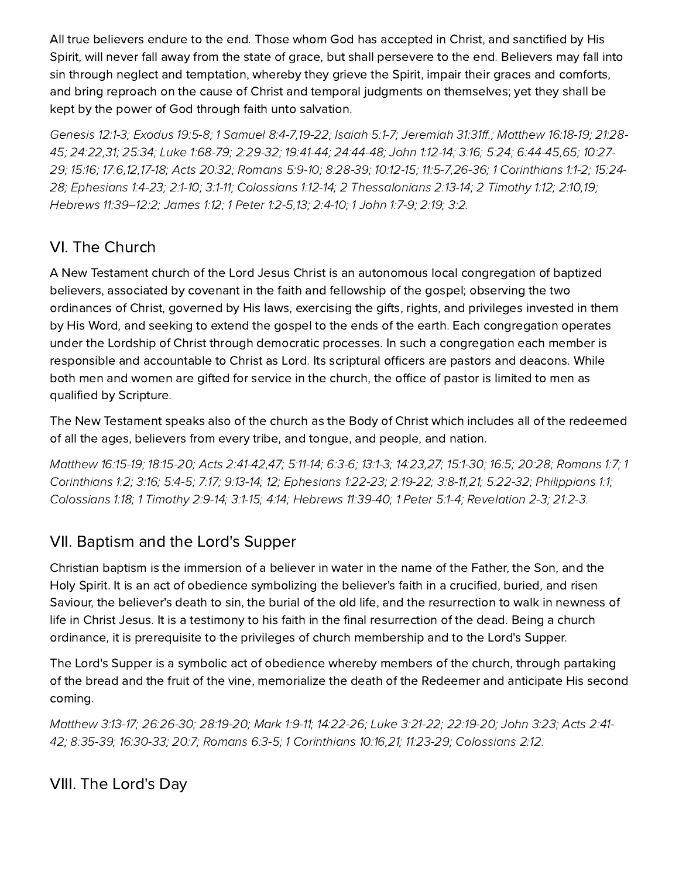All true believers endure to the end. Those whom God has accepted in Christ, and sanctified by His Spirit, will never fall away from the state of grace, but shall persevere to the end. Believers may fall into sin through neglect and temptation, whereby they grieve the Spirit, impair their graces and comforts, and bring reproach on the cause of Christ and temporal judgments on themselves; yet they shall be kept by the power of God through faith unto salvation.

[Genesis](http://biblia.com/bible/hcsb/Genesis%2012.1-3) 12:1-3; E[xodus](http://biblia.com/bible/hcsb/Exodus%2019.5-8) 19:5-8; 1 S[amuel](http://biblia.com/bible/hcsb/1%20Samuel%208.4-7) [8:4-7,1](http://biblia.com/bible/hcsb/Matthew%2021.28-45)[9-22](http://biblia.com/bible/hcsb/1%20Samuel%208.19-22)[;](http://biblia.com/bible/hcsb/Matthew%2021.28-45) [Isaiah](http://biblia.com/bible/hcsb/Isaiah%205.1-7) 5:1-7; [Jeremiah](http://biblia.com/bible/hcsb/Jeremiah%2031.31ff) 31:31ff.; [Matthew](http://biblia.com/bible/hcsb/Matthew%2016.18-19) 16:18-19; 21:28-45; [24:22,](http://biblia.com/bible/hcsb/Matthew%2024.22)[31](http://biblia.com/bible/hcsb/Matthew%2024.31); [25:34](http://biblia.com/bible/hcsb/Matthew%2025.34); Luke [1:68-79](http://biblia.com/bible/hcsb/Luke%201.68-79); [2:29-32](http://biblia.com/bible/hcsb/Luke%202.29-32); [19:41-44](http://biblia.com/bible/hcsb/Luke%2019.41-44); [24:44-48](http://biblia.com/bible/hcsb/Luke%2024.44-48); John [1:12-14;](http://biblia.com/bible/hcsb/John%201.12-14) [3:16](http://biblia.com/bible/hcsb/John%203.16); [5:24](http://biblia.com/bible/hcsb/John%205.24); [6:44-45,](http://biblia.com/bible/hcsb/John%206.44-45)[65;](http://biblia.com/bible/hcsb/John%206.65) 10:27- 29; [15:16](http://biblia.com/bible/hcsb/John%2015.16); [17:6](http://biblia.com/bible/hcsb/John%2017.6)[,12](http://biblia.com/bible/hcsb/John%2017.12),[17-18;](http://biblia.com/bible/hcsb/John%2017.17-18) Acts [20:32;](http://biblia.com/bible/hcsb/Acts%2020.32) [Romans](http://biblia.com/bible/hcsb/Romans%205.9-10) 5:9-10; [8:28-39;](http://biblia.com/bible/hcsb/Romans%208.28-39) [10:12-15;](http://biblia.com/bible/hcsb/Romans%2010.12-15) [11:5-7,26-36;](http://biblia.com/bible/hcsb/John%2010.27-29) 1 [Corinthians](http://biblia.com/bible/hcsb/1%20Corinthians%201.1-2) 1:1-2; 15:24 28; E[phesians](http://biblia.com/bible/hcsb/Ephesians%201.4-23) 1:4-23; [2:1-10](http://biblia.com/bible/hcsb/Ephesians%202.1-10); [3:1-11;](http://biblia.com/bible/hcsb/Ephesians%203.1-11) [Colossians](http://biblia.com/bible/hcsb/Colossians%201.12-14) 1:12-14; 2 [Thessalonians](http://biblia.com/bible/hcsb/1%20Corinthians%2015.24-28) 2:13-14; 2 [Timoth](http://biblia.com/bible/hcsb/2%20Timothy%201.12)y 1:12; [2:10](http://biblia.com/bible/hcsb/2%20Timothy%202.10)[,19](http://biblia.com/bible/hcsb/2%20Timothy%202.19); Hebrews [11:39–12:2](http://biblia.com/bible/hcsb/Hebrews%2011.39%E2%80%9312.2); [James](http://biblia.com/bible/hcsb/James%201.12) 1:12; 1 [Peter](http://biblia.com/bible/hcsb/1%20Peter%201.2-5) 1:2-5[,13](http://biblia.com/bible/hcsb/1%20Peter%201.13); [2:4-10;](http://biblia.com/bible/hcsb/1%20Peter%202.4-10) 1 [John](http://biblia.com/bible/hcsb/1%20John%201.7-9) 1:7-9; [2:19](http://biblia.com/bible/hcsb/1%20John%202.19); [3:2](http://biblia.com/bible/hcsb/1%20John%203.2).

## VI. The Church

A New Testament church of the Lord Jesus Christ is an autonomous local congregation of baptized believers, associated by covenant in the faith and fellowship of the gospel; observing the two ordinances of Christ, governed by His laws, exercising the gifts, rights, and privileges invested in them by His Word, and seeking to extend the gospel to the ends of the earth. Each congregation operates under the Lordship of Christ through democratic processes. In such a congregation each member is responsible and accountable to Christ as Lord. Its scriptural officers are pastors and deacons. While both men and women are gifted for service in the church, the office of pastor is limited to men as qualified by Scripture.

The New Testament speaks also of the church as the Body of Christ which includes all of the redeemed of all the ages, believers from every tribe, and tongue, and people, and nation.

[Matthew](http://biblia.com/bible/hcsb/Matthew%2016.15-19) 16:15-19; [18:15-20](http://biblia.com/bible/hcsb/Matthew%2018.15-20); Acts [2:41-42,](http://biblia.com/bible/hcsb/Acts%202.41-42)[47;](http://biblia.com/bible/hcsb/Acts%202.47) [5:11-14](http://biblia.com/bible/hcsb/Acts%205.11-14); [6:3-6;](http://biblia.com/bible/hcsb/Acts%206.3-6) [13:1-3](http://biblia.com/bible/hcsb/Acts%2013.1-3); [14:23](http://biblia.com/bible/hcsb/Acts%2014.23)[,27](http://biblia.com/bible/hcsb/Acts%2014.27); [15:1-30](http://biblia.com/bible/hcsb/Acts%2015.1-30); [16:5;](http://biblia.com/bible/hcsb/Acts%2016.5) [20:28;](http://biblia.com/bible/hcsb/Acts%2020.28) [Romans](http://biblia.com/bible/hcsb/Romans%201.7) 1:7; 1 [Corinthians](http://biblia.com/bible/hcsb/1%20Corinthians%201.2) 1:2; [3:16;](http://biblia.com/bible/hcsb/1%20Corinthians%203.16) [5:4-5;](http://biblia.com/bible/hcsb/1%20Corinthians%205.4-5) [7:17;](http://biblia.com/bible/hcsb/1%20Corinthians%207.17) [9:13-14;](http://biblia.com/bible/hcsb/1%20Corinthians%209.13-14) [12;](http://biblia.com/bible/hcsb/1%20Corinthians%209.12) E[phesians](http://biblia.com/bible/hcsb/Ephesians%201.22-23) 1:22-23; [2:19-22](http://biblia.com/bible/hcsb/Ephesians%202.19-22); [3:8-11,](http://biblia.com/bible/hcsb/Ephesians%203.8-11)[21](http://biblia.com/bible/hcsb/Ephesians%203.21); [5:22-32](http://biblia.com/bible/hcsb/Ephesians%205.22-32); [Philippians](http://biblia.com/bible/hcsb/Philippians%201.1) 1:1; [Colossians](http://biblia.com/bible/hcsb/Colossians%201.18) 1:18; 1 [Timoth](http://biblia.com/bible/hcsb/1%20Timothy%202.9-14)y 2:9-14; [3:1-15;](http://biblia.com/bible/hcsb/1%20Timothy%203.1-15) [4:14](http://biblia.com/bible/hcsb/1%20Timothy%204.14); Hebrews 11:39-40; 1 [Peter](http://biblia.com/bible/hcsb/1%20Peter%205.1-4) 5:1-4; Revelation 2-3; 21:2-3.

#### VII. Baptism and the Lord's Supper

Christian baptism is the immersion of a believer in water in the name of the Father, the Son, and the Holy Spirit. It is an act of obedience symbolizing the believer's faith in a crucified, buried, and risen Saviour, the believer's death to sin, the burial of the old life, and the resurrection to walk in newness of life in Christ Jesus. It is a testimony to his faith in the final resurrection of the dead. Being a church ordinance, it is prerequisite to the privileges of church membership and to the Lord's Supper.

The Lord's Supper is a symbolic act of obedience whereby members of the church, through partaking of the bread and the fruit of the vine, memorialize the death of the Redeemer and anticipate His second coming.

[Matthew](http://biblia.com/bible/hcsb/Matthew%203.13-17) 3:13-17; [26:26-30;](http://biblia.com/bible/hcsb/Matthew%2026.26-30) [28:19-20;](http://biblia.com/bible/hcsb/Matthew%2028.19-20) [Mark](http://biblia.com/bible/hcsb/Mark%201.9-11) 1:9-11; [14:22-26](http://biblia.com/bible/hcsb/Mark%2014.22-26); Luke [3:21-22;](http://biblia.com/bible/hcsb/Luke%203.21-22) [22:19-20;](http://biblia.com/bible/hcsb/Luke%2022.19-20) [John](http://biblia.com/bible/hcsb/John%203.23) 3:23; Acts 2:41- 42; [8:35-39](http://biblia.com/bible/hcsb/Acts%208.35-39); [16:30-33](http://biblia.com/bible/hcsb/Acts%2016.30-33); [20:7](http://biblia.com/bible/hcsb/Acts%2020.7); [Romans](http://biblia.com/bible/hcsb/Romans%206.3-5) 6:3-5; 1 [Corinthians](http://biblia.com/bible/hcsb/Acts%202.41-42) 10:16[,21;](http://biblia.com/bible/hcsb/1%20Corinthians%2010.21) [11:23-29;](http://biblia.com/bible/hcsb/1%20Corinthians%2011.23-29) [Colossians](http://biblia.com/bible/hcsb/Colossians%202.12) 2:12.

VIII. The Lord's Day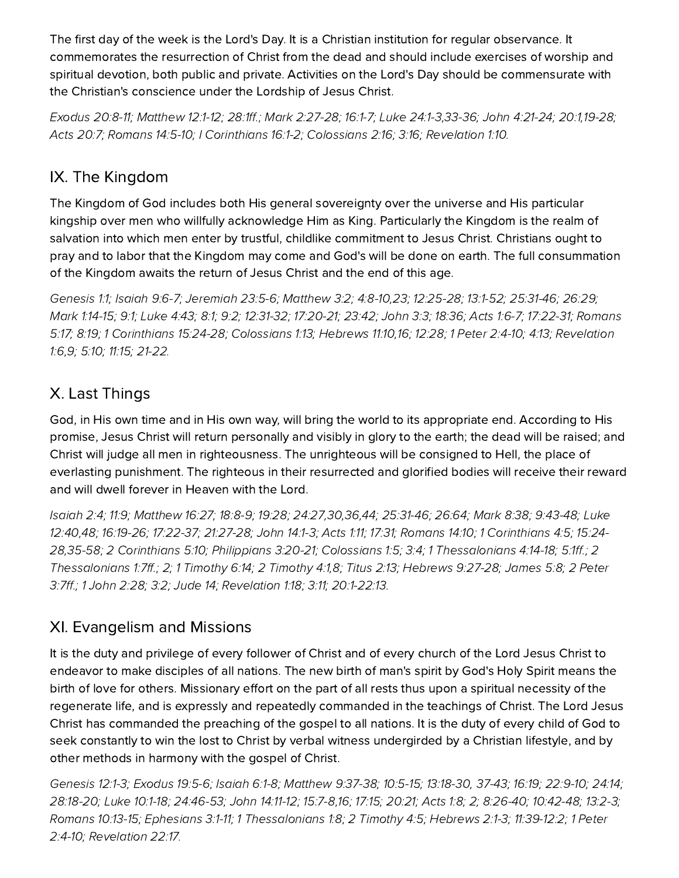The first day of the week is the Lord's Day. It is a Christian institution for regular observance. It commemorates the resurrection of Christ from the dead and should include exercises of worship and spiritual devotion, both public and private. Activities on the Lord's Day should be commensurate with the Christian's conscience under the Lordship of Jesus Christ.

[xodus](http://biblia.com/bible/hcsb/Exodus%2020.8-11) 20:8-11; [Matthew](http://biblia.com/bible/hcsb/Matthew%2012.1-12) 12:1-12; [28:1ff](http://biblia.com/bible/hcsb/Matthew%2028.1ff).; Mark [2:27-28;](http://biblia.com/bible/hcsb/Mark%202.27-28) [16:1-7](http://biblia.com/bible/hcsb/Mark%2016.1-7); Luke [24:1-3,](http://biblia.com/bible/hcsb/Luke%2024.1-3)[33-36](http://biblia.com/bible/hcsb/Luke%2024.33-36); John [4:21-24;](http://biblia.com/bible/hcsb/John%204.21-24) [20:1](http://biblia.com/bible/hcsb/John%2020.1)[,19-28](http://biblia.com/bible/hcsb/John%2020.19-28); Acts [20:7](http://biblia.com/bible/hcsb/Acts%2020.7); [Romans](http://biblia.com/bible/hcsb/Romans%2014.5-10) 14:5-10; I [Corinthians](http://biblia.com/bible/hcsb/I%20Corinthians%2016.1-2) 16:1-2; [Colossians](http://biblia.com/bible/hcsb/Colossians%202.16) 2:16; [3:16;](http://biblia.com/bible/hcsb/Colossians%203.16) [Revelation](http://biblia.com/bible/hcsb/Revelation%201.10) 1:10.

## IX. The Kingdom

The Kingdom of God includes both His general sovereignty over the universe and His particular kingship over men who willfully acknowledge Him as King. Particularly the Kingdom is the realm of salvation into which men enter by trustful, childlike commitment to Jesus Christ. Christians ought to pray and to labor that the Kingdom may come and God's will be done on earth. The full consummation of the Kingdom awaits the return of Jesus Christ and the end of this age.

[Genesis](http://biblia.com/bible/hcsb/Genesis%201.1) 1:1; [Isaiah](http://biblia.com/bible/hcsb/Isaiah%209.6-7) 9:6-7; [Jeremiah](http://biblia.com/bible/hcsb/Jeremiah%2023.5-6) 23:5-6; [Matthew](http://biblia.com/bible/hcsb/Matthew%203.2) 3:2; [4:8-10](http://biblia.com/bible/hcsb/Matthew%204.8-10),[23](http://biblia.com/bible/hcsb/Matthew%204.23); [12:25-28](http://biblia.com/bible/hcsb/Matthew%2012.25-28); [13:1-52](http://biblia.com/bible/hcsb/Matthew%2013.1-52); [25:31-46](http://biblia.com/bible/hcsb/Matthew%2025.31-46); [26:29;](http://biblia.com/bible/hcsb/Matthew%2026.29) Mark [1:14-15](http://biblia.com/bible/hcsb/Mark%201.14-15); [9:1;](http://biblia.com/bible/hcsb/Mark%209.1) [Luke](http://biblia.com/bible/hcsb/Luke%204.43) 4:43; [8:1;](http://biblia.com/bible/hcsb/Luke%208.1) [9:2;](http://biblia.com/bible/hcsb/Luke%209.2) [12:31-32](http://biblia.com/bible/hcsb/Luke%2012.31-32); [17:20-21;](http://biblia.com/bible/hcsb/Luke%2017.20-21) [23:42;](http://biblia.com/bible/hcsb/Luke%2023.42) [John](http://biblia.com/bible/hcsb/John%203.3) 3:3; [18:36](http://biblia.com/bible/hcsb/John%2018.36); Acts [1:6-7;](http://biblia.com/bible/hcsb/Acts%201.6-7) [17:22-31;](http://biblia.com/bible/hcsb/Acts%2017.22-31) Romans 5:17; [8:19;](http://biblia.com/bible/hcsb/Romans%208.19) 1 [Corinthians](http://biblia.com/bible/hcsb/Romans%205.17) 15:24-28; [Colossians](http://biblia.com/bible/hcsb/Colossians%201.13) 1:13; Hebrews 11:10,[16](http://biblia.com/bible/hcsb/Hebrews%2011.16); [12:28;](http://biblia.com/bible/hcsb/Hebrews%2012.28) 1 Peter [2:4-10;](http://biblia.com/bible/hcsb/1%20Peter%202.4-10) [4:13](http://biblia.com/bible/hcsb/1%20Peter%204.13); Revelation 1:6[,9](http://biblia.com/bible/hcsb/Revelation%201.9); [5:10;](http://biblia.com/bible/hcsb/Revelation%205.10) [11:15](http://biblia.com/bible/hcsb/Revelation%2011.15); [21-22.](http://biblia.com/bible/hcsb/Revelation%2011.21-22)

# X. Last Things

God, in His own time and in His own way, will bring the world to its appropriate end. According to His promise, Jesus Christ will return personally and visibly in glory to the earth; the dead will be raised; and Christ will judge all men in righteousness. The unrighteous will be consigned to Hell, the place of everlasting punishment. The righteous in their resurrected and glorified bodies will receive their reward and will dwell forever in Heaven with the Lord.

[Isaiah](http://biblia.com/bible/hcsb/Isaiah%202.4) 2:4; [11:9;](http://biblia.com/bible/hcsb/Isaiah%2011.9) [Matthew](http://biblia.com/bible/hcsb/Matthew%2016.27) 16:27; [18:8-9;](http://biblia.com/bible/hcsb/Matthew%2018.8-9) [19:28](http://biblia.com/bible/hcsb/Matthew%2019.28); [24:27](http://biblia.com/bible/hcsb/Matthew%2024.27)[,](http://biblia.com/bible/hcsb/Luke%2012.40)[30](http://biblia.com/bible/hcsb/Matthew%2024.30)[,](http://biblia.com/bible/hcsb/Luke%2012.40)[36](http://biblia.com/bible/hcsb/Matthew%2024.36)[,4](http://biblia.com/bible/hcsb/Luke%2012.40)[4](http://biblia.com/bible/hcsb/Matthew%2024.44)[;](http://biblia.com/bible/hcsb/Luke%2012.40) [25:31-46](http://biblia.com/bible/hcsb/Matthew%2025.31-46); [26:64](http://biblia.com/bible/hcsb/Matthew%2026.64); [Mark](http://biblia.com/bible/hcsb/Mark%208.38) 8:38; [9:43-48](http://biblia.com/bible/hcsb/Mark%209.43-48); Luke 12:40,[48;](http://biblia.com/bible/hcsb/Luke%2012.48) [16:19-26](http://biblia.com/bible/hcsb/Luke%2016.19-26); [17:22-37;](http://biblia.com/bible/hcsb/Luke%2017.22-37) [21:27-28](http://biblia.com/bible/hcsb/Luke%2021.27-28); John [14:1-3](http://biblia.com/bible/hcsb/John%2014.1-3); [Acts](http://biblia.com/bible/hcsb/Acts%201.11) 1:11; [17:31;](http://biblia.com/bible/hcsb/Acts%2017.31) [Romans](http://biblia.com/bible/hcsb/Romans%2014.10) 14:10; 1 [Corinthians](http://biblia.com/bible/hcsb/1%20Corinthians%204.5) 4:5; 15:24- 28[,35-58;](http://biblia.com/bible/hcsb/1%20Corinthians%2015.35-58) 2 [Corinthians](http://biblia.com/bible/hcsb/2%20Corinthians%205.10) 5:10; [Philippians](http://biblia.com/bible/hcsb/Philippians%203.20-21) 3:20-21; [Colossians](http://biblia.com/bible/hcsb/Colossians%201.5) 1:5; [3:4;](http://biblia.com/bible/hcsb/Colossians%203.4) 1 [Thessalonians](http://biblia.com/bible/hcsb/1%20Corinthians%2015.24-28) 4:14-18; [5:1ff.](http://biblia.com/bible/hcsb/1%20Thessalonians%205.1ff); 2 [Thessalonians](http://biblia.com/bible/hcsb/2%20Thessalonians%201.7ff) 1:7ff.; [2](http://biblia.com/bible/hcsb/2%20Thessalonians%201.2); 1 [Timoth](http://biblia.com/bible/hcsb/2%20Timothy%204.1)y 6:14; 2 Timothy 4:1[,8](http://biblia.com/bible/hcsb/2%20Timothy%204.8); [Titus](http://biblia.com/bible/hcsb/Titus%202.13) 2:13; Hebrews 9:27-28; [James](http://biblia.com/bible/hcsb/James%205.8) 5:8; 2 Peter 3:7ff.; 1 [John](http://biblia.com/bible/hcsb/1%20John%202.28) 2:28; [3:2;](http://biblia.com/bible/hcsb/1%20John%203.2) [Jude](http://biblia.com/bible/hcsb/Jude%2014) 14; [Revelation](http://biblia.com/bible/hcsb/Revelation%201.18) 1:18; [3:11;](http://biblia.com/bible/hcsb/Revelation%203.11) [20:1-22:13.](http://biblia.com/bible/hcsb/Revelation%2020.1-22.13)

## XI. Evangelism and Missions

It is the duty and privilege of every follower of Christ and of every church of the Lord Jesus Christ to endeavor to make disciples of all nations. The new birth of man's spirit by God's Holy Spirit means the birth of love for others. Missionary effort on the part of all rests thus upon a spiritual necessity of the regenerate life, and is expressly and repeatedly commanded in the teachings of Christ. The Lord Jesus Christ has commanded the preaching of the gospel to all nations. It is the duty of every child of God to seek constantly to win the lost to Christ by verbal witness undergirded by a Christian lifestyle, and by other methods in harmony with the gospel of Christ.

[Genesis](http://biblia.com/bible/hcsb/Genesis%2012.1-3) 12:1-3; E[xodus](http://biblia.com/bible/hcsb/Exodus%2019.5-6) 19:5-6; [Isaiah](http://biblia.com/bible/hcsb/Isaiah%206.1-8) 6:1-8; [Matthew](http://biblia.com/bible/hcsb/Matthew%209.37-38) 9:37-38; [10:5-15](http://biblia.com/bible/hcsb/Matthew%2010.5-15); [13:18-30](http://biblia.com/bible/hcsb/Matthew%2013.18-30), [37-43;](http://biblia.com/bible/hcsb/Matthew%2013.37-43) [16:19;](http://biblia.com/bible/hcsb/Matthew%2016.19) [22:9-10;](http://biblia.com/bible/hcsb/Matthew%2022.9-10) [24:14](http://biblia.com/bible/hcsb/Matthew%2024.14); [28:18-20;](http://biblia.com/bible/hcsb/Matthew%2028.18-20) Luke [10:1-18;](http://biblia.com/bible/hcsb/Luke%2010.1-18) [24:46-53](http://biblia.com/bible/hcsb/Luke%2024.46-53); John [14:11-12](http://biblia.com/bible/hcsb/John%2014.11-12); [15:7-8,](http://biblia.com/bible/hcsb/John%2015.7-8)[16;](http://biblia.com/bible/hcsb/John%2015.16) [17:15](http://biblia.com/bible/hcsb/John%2017.15); [20:21;](http://biblia.com/bible/hcsb/John%2020.21) [Acts](http://biblia.com/bible/hcsb/Acts%201.8) 1:8; [2](http://biblia.com/bible/hcsb/Acts%201.2); [8:26-40](http://biblia.com/bible/hcsb/Acts%208.26-40); [10:42-48](http://biblia.com/bible/hcsb/Acts%2010.42-48); [13:2-3](http://biblia.com/bible/hcsb/Acts%2013.2-3); [Romans](http://biblia.com/bible/hcsb/Romans%2010.13-15) 10:13-15; E[phesians](http://biblia.com/bible/hcsb/Ephesians%203.1-11) 3:1-11; 1 [Thessalonians](http://biblia.com/bible/hcsb/1%20Thessalonians%201.8) 1:8; 2 [Timoth](http://biblia.com/bible/hcsb/2%20Timothy%204.5)y 4:5; Hebrews 2:1-3; [11:39-12:2;](http://biblia.com/bible/hcsb/Hebrews%2011.39-12.2) 1 Peter 2:4-10; [Revelation](http://biblia.com/bible/hcsb/Revelation%2022.17) 22:17.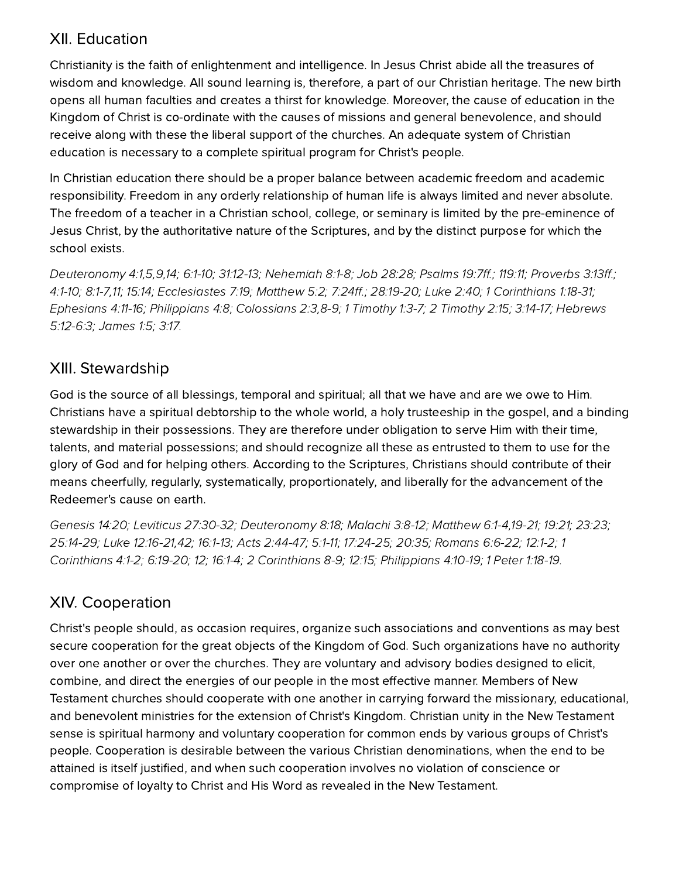#### **XII. Education**

Christianity is the faith of enlightenment and intelligence. In Jesus Christ abide all the treasures of wisdom and knowledge. All sound learning is, therefore, a part of our Christian heritage. The new birth opens all human faculties and creates a thirst for knowledge. Moreover, the cause of education in the Kingdom of Christ is co-ordinate with the causes of missions and general benevolence, and should receive along with these the liberal support of the churches. An adequate system of Christian education is necessary to a complete spiritual program for Christ's people.

In Christian education there should be a proper balance between academic freedom and academic responsibility. Freedom in any orderly relationship of human life is always limited and never absolute. The freedom of a teacher in a Christian school, college, or seminary is limited by the pre-eminence of Jesus Christ, by the authoritative nature of the Scriptures, and by the distinct purpose for which the school exists.

[Deuteronom](http://biblia.com/bible/hcsb/Deuteronomy%204.1)y 4:1,[5](http://biblia.com/bible/hcsb/Deuteronomy%204.5),[9](http://biblia.com/bible/hcsb/Deuteronomy%204.9),[14;](http://biblia.com/bible/hcsb/Deuteronomy%204.14) [6:1-10](http://biblia.com/bible/hcsb/Deuteronomy%206.1-10); [31:12-13;](http://biblia.com/bible/hcsb/Deuteronomy%2031.12-13) [Nehemiah](http://biblia.com/bible/hcsb/Nehemiah%208.1-8) 8:1-8; Job [28:28](http://biblia.com/bible/hcsb/Job%2028.28); [Psalms](http://biblia.com/bible/hcsb/Psalms%2019.7ff) 19:7ff.; [119:11](http://biblia.com/bible/hcsb/Psalms%20119.11); Proverbs 3:13ff.; [4:1-10;](http://biblia.com/bible/hcsb/Proverbs%204.1-10) [8:1-7](http://biblia.com/bible/hcsb/Proverbs%208.1-7),[11;](http://biblia.com/bible/hcsb/Proverbs%208.11) [15:14;](http://biblia.com/bible/hcsb/Proverbs%2015.14) E[cclesiastes](http://biblia.com/bible/hcsb/Ecclesiastes%207.19) 7:19; [Matthew](http://biblia.com/bible/hcsb/Matthew%205.2) 5:2; [7:24ff.](http://biblia.com/bible/hcsb/Matthew%207.24ff); [28:19-20;](http://biblia.com/bible/hcsb/Matthew%2028.19-20) [Luke](http://biblia.com/bible/hcsb/Luke%202.40) 2:40; 1 [Corinthians](http://biblia.com/bible/hcsb/1%20Corinthians%201.18-31) 1:18-31; E[phesians](http://biblia.com/bible/hcsb/Ephesians%204.11-16) 4:11-16; [Philippians](http://biblia.com/bible/hcsb/Philippians%204.8) 4:8; [Colossians](http://biblia.com/bible/hcsb/Colossians%202.3) 2:3,[8-9;](http://biblia.com/bible/hcsb/Colossians%202.8-9) 1 [Timoth](http://biblia.com/bible/hcsb/2%20Timothy%202.15)y 1:3-7; 2 Timothy 2:15; [3:14-17](http://biblia.com/bible/hcsb/2%20Timothy%203.14-17); Hebrews 5:12-6:3; [James](http://biblia.com/bible/hcsb/James%201.5) 1:5; [3:17.](http://biblia.com/bible/hcsb/James%203.17)

#### XIII. Stewardship

God is the source of all blessings, temporal and spiritual; all that we have and are we owe to Him. Christians have a spiritual debtorship to the whole world, a holy trusteeship in the gospel, and a binding stewardship in their possessions. They are therefore under obligation to serve Him with their time, talents, and material possessions; and should recognize all these as entrusted to them to use for the glory of God and for helping others. According to the Scriptures, Christians should contribute of their means cheerfully, regularly, systematically, proportionately, and liberally for the advancement of the Redeemer's cause on earth.

[Genesis](http://biblia.com/bible/hcsb/Genesis%2014.20) 14:20; Leviticus [27:30-32;](http://biblia.com/bible/hcsb/Leviticus%2027.30-32) [Deuteronom](http://biblia.com/bible/hcsb/Deuteronomy%208.18)y 8:18; [Malachi](http://biblia.com/bible/hcsb/Malachi%203.8-12) 3:8-12; [Matthew](http://biblia.com/bible/hcsb/Matthew%206.1-4) 6:1-4[,19-21](http://biblia.com/bible/hcsb/Matthew%206.19-21); [19:21](http://biblia.com/bible/hcsb/Matthew%2019.21); [23:23](http://biblia.com/bible/hcsb/Matthew%2023.23); [25:14-29](http://biblia.com/bible/hcsb/Matthew%2025.14-29); Luke [12:16-21,](http://biblia.com/bible/hcsb/Luke%2012.16-21)[42](http://biblia.com/bible/hcsb/Luke%2012.42); [16:1-13](http://biblia.com/bible/hcsb/Luke%2016.1-13); Acts [2:44-47;](http://biblia.com/bible/hcsb/Acts%202.44-47) [5:1-11;](http://biblia.com/bible/hcsb/Acts%205.1-11) [17:24-25](http://biblia.com/bible/hcsb/Acts%2017.24-25); [20:35;](http://biblia.com/bible/hcsb/Acts%2020.35) [Romans](http://biblia.com/bible/hcsb/Romans%206.6-22) 6:6-22; [12:1-2;](http://biblia.com/bible/hcsb/Romans%2012.1-2) 1 [Corinthians](http://biblia.com/bible/hcsb/1%20Corinthians%204.1-2) 4:1-2; [6:19-20;](http://biblia.com/bible/hcsb/1%20Corinthians%206.19-20) [12;](http://biblia.com/bible/hcsb/1%20Corinthians%206.12) [16:1-4](http://biblia.com/bible/hcsb/1%20Corinthians%2016.1-4); 2 Corinthians 8-9; 12:15; [Philippians](http://biblia.com/bible/hcsb/Philippians%204.10-19) 4:10-19; 1 Peter [1:18-19](http://biblia.com/bible/hcsb/1%20Peter%201.18-19).

## XIV. Cooperation

Christ's people should, as occasion requires, organize such associations and conventions as may best secure cooperation for the great objects of the Kingdom of God. Such organizations have no authority over one another or over the churches. They are voluntary and advisory bodies designed to elicit, combine, and direct the energies of our people in the most effective manner. Members of New Testament churches should cooperate with one another in carrying forward the missionary, educational, and benevolent ministries for the extension of Christ's Kingdom. Christian unity in the New Testament sense is spiritual harmony and voluntary cooperation for common ends by various groups of Christ's people. Cooperation is desirable between the various Christian denominations, when the end to be attained is itself justified, and when such cooperation involves no violation of conscience or compromise of loyalty to Christ and His Word as revealed in the New Testament.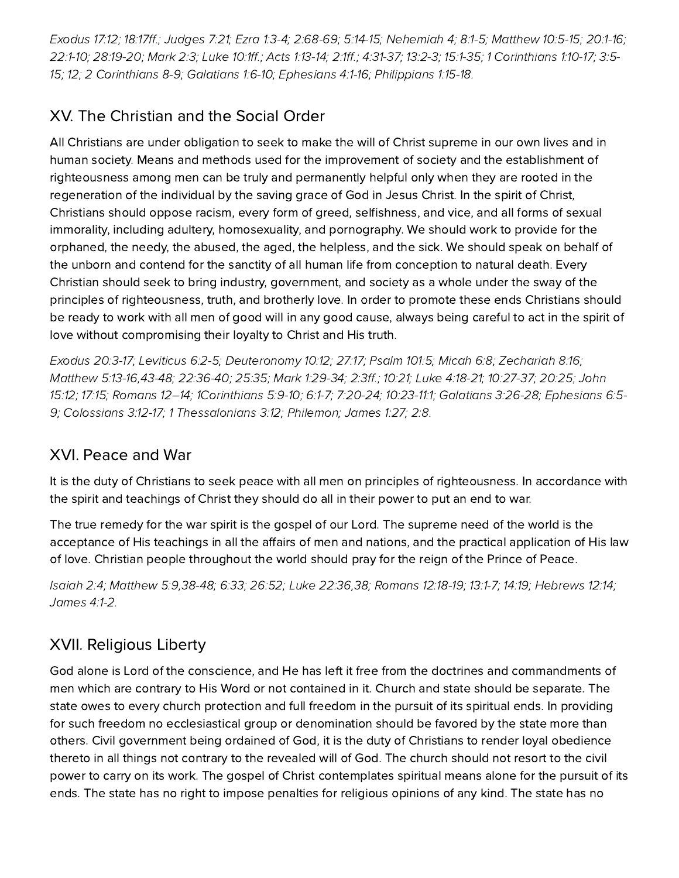E[xodus](http://biblia.com/bible/hcsb/Exodus%2017.12) 17:12; [18:17ff.](http://biblia.com/bible/hcsb/Exodus%2018.17ff); [Judges](http://biblia.com/bible/hcsb/Judges%207.21) 7:21; Ezra [1:3-4;](http://biblia.com/bible/hcsb/Ezra%201.3-4) [2:68-69;](http://biblia.com/bible/hcsb/Ezra%202.68-69) [5:14-15](http://biblia.com/bible/hcsb/Ezra%205.14-15); Nehemiah 4; 8:1-5; [Matthew](http://biblia.com/bible/hcsb/Matthew%2010.5-15) 10:5-15; [20:1-16](http://biblia.com/bible/hcsb/Matthew%2020.1-16); [22:1-10;](http://biblia.com/bible/hcsb/Matthew%2022.1-10) [28:19-20;](http://biblia.com/bible/hcsb/Matthew%2028.19-20) [Mark](http://biblia.com/bible/hcsb/Mark%202.3) 2:3; [Luke](http://biblia.com/bible/hcsb/Luke%2010.1ff) 10:1ff.; Acts [1:13-14](http://biblia.com/bible/hcsb/Acts%201.13-14); [2:1ff](http://biblia.com/bible/hcsb/Acts%202.1ff).; [4:31-37](http://biblia.com/bible/hcsb/Acts%204.31-37); [13:2-3;](http://biblia.com/bible/hcsb/Acts%2013.2-3) [15:1-35](http://biblia.com/bible/hcsb/Acts%2015.1-35); 1 [Corinthians](http://biblia.com/bible/hcsb/1%20Corinthians%201.10-17) 1:10-17; 3:5- 15; [12;](http://biblia.com/bible/hcsb/1%20Corinthians%203.12) 2 [Corinthians](http://biblia.com/bible/hcsb/1%20Corinthians%203.5-15) 8-9; [Galatians](http://biblia.com/bible/hcsb/Galatians%201.6-10) 1:6-10; E[phesians](http://biblia.com/bible/hcsb/Ephesians%204.1-16) 4:1-16; [Philippians](http://biblia.com/bible/hcsb/Philippians%201.15-18) 1:15-18.

# XV. The Christian and the Social Order

All Christians are under obligation to seek to make the will of Christ supreme in our own lives and in human society. Means and methods used for the improvement of society and the establishment of righteousness among men can be truly and permanently helpful only when they are rooted in the regeneration of the individual by the saving grace of God in Jesus Christ. In the spirit of Christ, Christians should oppose racism, every form of greed, selfishness, and vice, and all forms of sexual immorality, including adultery, homosexuality, and pornography. We should work to provide for the orphaned, the needy, the abused, the aged, the helpless, and the sick. We should speak on behalf of the unborn and contend for the sanctity of all human life from conception to natural death. Every Christian should seek to bring industry, government, and society as a whole under the sway of the principles of righteousness, truth, and brotherly love. In order to promote these ends Christians should be ready to work with all men of good will in any good cause, always being careful to act in the spirit of love without compromising their loyalty to Christ and His truth.

E[xodus](http://biblia.com/bible/hcsb/Exodus%2020.3-17) 20:3-17; [Leviticus](http://biblia.com/bible/hcsb/Leviticus%206.2-5) 6:2-5; [Deuteronom](http://biblia.com/bible/hcsb/Deuteronomy%2010.12)y 10:12; [27:17](http://biblia.com/bible/hcsb/Deuteronomy%2027.17); [Psalm](http://biblia.com/bible/hcsb/Psalm%20101.5) 101:5; [Micah](http://biblia.com/bible/hcsb/Micah%206.8) 6:8; [Zechariah](http://biblia.com/bible/hcsb/Zechariah%208.16) 8:16; [Matthew](http://biblia.com/bible/hcsb/Matthew%205.13-16) [5:13-16,4](http://biblia.com/bible/hcsb/John%2015.12)[3-48](http://biblia.com/bible/hcsb/Matthew%205.43-48)[;](http://biblia.com/bible/hcsb/John%2015.12) [22:36-40](http://biblia.com/bible/hcsb/Matthew%2022.36-40); [25:35](http://biblia.com/bible/hcsb/Matthew%2025.35); Mark [1:29-34;](http://biblia.com/bible/hcsb/Mark%201.29-34) [2:3ff](http://biblia.com/bible/hcsb/Mark%202.3ff).; [10:21;](http://biblia.com/bible/hcsb/Mark%2010.21) Luke [4:18-21;](http://biblia.com/bible/hcsb/Luke%204.18-21) [10:27-37](http://biblia.com/bible/hcsb/Luke%2010.27-37); [20:25;](http://biblia.com/bible/hcsb/Luke%2020.25) John 15:12; [17:15](http://biblia.com/bible/hcsb/John%2017.15); Romans 12–14; [1Corinthians](http://biblia.com/bible/hcsb/1Corinthians%205.9-10) 5:9-10; [6:1-7](http://biblia.com/bible/hcsb/1Corinthians%206.1-7); [7:20-24;](http://biblia.com/bible/hcsb/1Corinthians%207.20-24) [10:23-11:1;](http://biblia.com/bible/hcsb/1Corinthians%2010.23-11.1) [Galatians](http://biblia.com/bible/hcsb/Galatians%203.26-28) 3:26-28; phesians 6:5- 9; [Colossians](http://biblia.com/bible/hcsb/Colossians%203.12-17) 3:12-17; 1 [Thessalonians](http://biblia.com/bible/hcsb/Ephesians%206.5-9) 3:12; Philemon; [James](http://biblia.com/bible/hcsb/James%201.27) 1:27; [2:8](http://biblia.com/bible/hcsb/James%202.8).

# XVI. Peace and War

It is the duty of Christians to seek peace with all men on principles of righteousness. In accordance with the spirit and teachings of Christ they should do all in their power to put an end to war.

The true remedy for the war spirit is the gospel of our Lord. The supreme need of the world is the acceptance of His teachings in all the affairs of men and nations, and the practical application of His law of love. Christian people throughout the world should pray for the reign of the Prince of Peace.

[Isaiah](http://biblia.com/bible/hcsb/Isaiah%202.4) 2:4; [Matthew](http://biblia.com/bible/hcsb/Matthew%205.9) 5:9,[38-48](http://biblia.com/bible/hcsb/Matthew%205.38-48); [6:33](http://biblia.com/bible/hcsb/Matthew%206.33); [26:52](http://biblia.com/bible/hcsb/Matthew%2026.52); Luke [22:36](http://biblia.com/bible/hcsb/Luke%2022.36),[38;](http://biblia.com/bible/hcsb/Luke%2022.38) [Romans](http://biblia.com/bible/hcsb/Romans%2012.18-19) 12:18-19; [13:1-7;](http://biblia.com/bible/hcsb/Romans%2013.1-7) [14:19](http://biblia.com/bible/hcsb/Romans%2014.19); Hebrews 12:14; [James](http://biblia.com/bible/hcsb/James%204.1-2) 4:1-2.

# XVII. Religious Liberty

God alone is Lord of the conscience, and He has left it free from the doctrines and commandments of men which are contrary to His Word or not contained in it. Church and state should be separate. The state owes to every church protection and full freedom in the pursuit of its spiritual ends. In providing for such freedom no ecclesiastical group or denomination should be favored by the state more than others. Civil government being ordained of God, it is the duty of Christians to render loyal obedience thereto in all things not contrary to the revealed will of God. The church should not resort to the civil power to carry on its work. The gospel of Christ contemplates spiritual means alone for the pursuit of its ends. The state has no right to impose penalties for religious opinions of any kind. The state has no